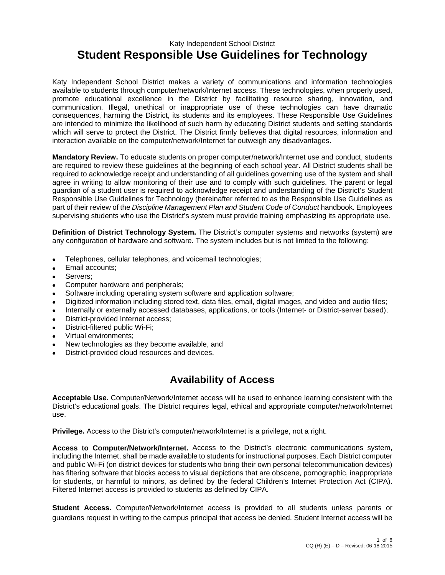#### Katy Independent School District **Student Responsible Use Guidelines for Technology**

Katy Independent School District makes a variety of communications and information technologies available to students through computer/network/Internet access. These technologies, when properly used, promote educational excellence in the District by facilitating resource sharing, innovation, and communication. Illegal, unethical or inappropriate use of these technologies can have dramatic consequences, harming the District, its students and its employees. These Responsible Use Guidelines are intended to minimize the likelihood of such harm by educating District students and setting standards which will serve to protect the District. The District firmly believes that digital resources, information and interaction available on the computer/network/Internet far outweigh any disadvantages.

**Mandatory Review.** To educate students on proper computer/network/Internet use and conduct, students are required to review these guidelines at the beginning of each school year. All District students shall be required to acknowledge receipt and understanding of all guidelines governing use of the system and shall agree in writing to allow monitoring of their use and to comply with such guidelines. The parent or legal guardian of a student user is required to acknowledge receipt and understanding of the District's Student Responsible Use Guidelines for Technology (hereinafter referred to as the Responsible Use Guidelines as part of their review of the *Discipline Management Plan and Student Code of Conduct* handbook. Employees supervising students who use the District's system must provide training emphasizing its appropriate use.

**Definition of District Technology System.** The District's computer systems and networks (system) are any configuration of hardware and software. The system includes but is not limited to the following:

- Telephones, cellular telephones, and voicemail technologies;
- Email accounts;
- Servers;
- Computer hardware and peripherals;
- Software including operating system software and application software;
- Digitized information including stored text, data files, email, digital images, and video and audio files;
- Internally or externally accessed databases, applications, or tools (Internet- or District-server based);
- District-provided Internet access;
- District-filtered public Wi-Fi;
- Virtual environments;
- New technologies as they become available, and
- District-provided cloud resources and devices.

## **Availability of Access**

**Acceptable Use.** Computer/Network/Internet access will be used to enhance learning consistent with the District's educational goals. The District requires legal, ethical and appropriate computer/network/Internet use.

**Privilege.** Access to the District's computer/network/Internet is a privilege, not a right.

**Access to Computer/Network/Internet.** Access to the District's electronic communications system, including the Internet, shall be made available to students for instructional purposes. Each District computer and public Wi-Fi (on district devices for students who bring their own personal telecommunication devices) has filtering software that blocks access to visual depictions that are obscene, pornographic, inappropriate for students, or harmful to minors, as defined by the federal Children's Internet Protection Act (CIPA). Filtered Internet access is provided to students as defined by CIPA.

**Student Access.** Computer/Network/Internet access is provided to all students unless parents or guardians request in writing to the campus principal that access be denied. Student Internet access will be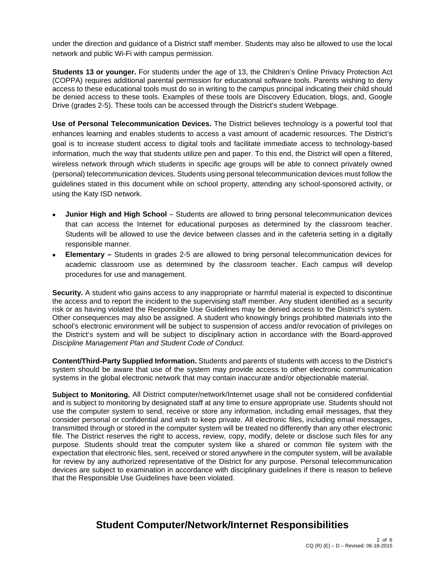under the direction and guidance of a District staff member. Students may also be allowed to use the local network and public Wi-Fi with campus permission.

**Students 13 or younger.** For students under the age of 13, the Children's Online Privacy Protection Act (COPPA) requires additional parental permission for educational software tools. Parents wishing to deny access to these educational tools must do so in writing to the campus principal indicating their child should be denied access to these tools. Examples of these tools are Discovery Education, blogs, and, Google Drive (grades 2-5). These tools can be accessed through the District's student Webpage.

**Use of Personal Telecommunication Devices.** The District believes technology is a powerful tool that enhances learning and enables students to access a vast amount of academic resources. The District's goal is to increase student access to digital tools and facilitate immediate access to technology-based information, much the way that students utilize pen and paper. To this end, the District will open a filtered, wireless network through which students in specific age groups will be able to connect privately owned (personal) telecommunication devices. Students using personal telecommunication devices must follow the guidelines stated in this document while on school property, attending any school-sponsored activity, or using the Katy ISD network.

- **Junior High and High School** Students are allowed to bring personal telecommunication devices that can access the Internet for educational purposes as determined by the classroom teacher. Students will be allowed to use the device between classes and in the cafeteria setting in a digitally responsible manner.
- **Elementary** Students in grades 2-5 are allowed to bring personal telecommunication devices for academic classroom use as determined by the classroom teacher. Each campus will develop procedures for use and management.

**Security.** A student who gains access to any inappropriate or harmful material is expected to discontinue the access and to report the incident to the supervising staff member. Any student identified as a security risk or as having violated the Responsible Use Guidelines may be denied access to the District's system. Other consequences may also be assigned. A student who knowingly brings prohibited materials into the school's electronic environment will be subject to suspension of access and/or revocation of privileges on the District's system and will be subject to disciplinary action in accordance with the Board-approved *Discipline Management Plan and Student Code of Conduct*.

**Content/Third-Party Supplied Information.** Students and parents of students with access to the District's system should be aware that use of the system may provide access to other electronic communication systems in the global electronic network that may contain inaccurate and/or objectionable material.

**Subject to Monitoring.** All District computer/network/Internet usage shall not be considered confidential and is subject to monitoring by designated staff at any time to ensure appropriate use. Students should not use the computer system to send, receive or store any information, including email messages, that they consider personal or confidential and wish to keep private. All electronic files, including email messages, transmitted through or stored in the computer system will be treated no differently than any other electronic file. The District reserves the right to access, review, copy, modify, delete or disclose such files for any purpose. Students should treat the computer system like a shared or common file system with the expectation that electronic files, sent, received or stored anywhere in the computer system, will be available for review by any authorized representative of the District for any purpose. Personal telecommunication devices are subject to examination in accordance with disciplinary guidelines if there is reason to believe that the Responsible Use Guidelines have been violated.

## **Student Computer/Network/Internet Responsibilities**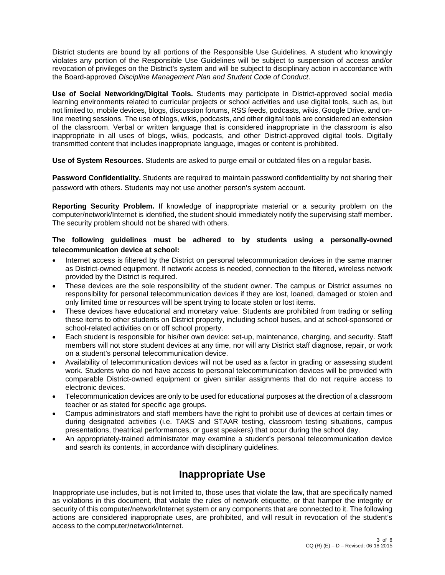District students are bound by all portions of the Responsible Use Guidelines. A student who knowingly violates any portion of the Responsible Use Guidelines will be subject to suspension of access and/or revocation of privileges on the District's system and will be subject to disciplinary action in accordance with the Board-approved *Discipline Management Plan and Student Code of Conduct*.

**Use of Social Networking/Digital Tools.** Students may participate in District-approved social media learning environments related to curricular projects or school activities and use digital tools, such as, but not limited to, mobile devices, blogs, discussion forums, RSS feeds, podcasts, wikis, Google Drive, and online meeting sessions. The use of blogs, wikis, podcasts, and other digital tools are considered an extension of the classroom. Verbal or written language that is considered inappropriate in the classroom is also inappropriate in all uses of blogs, wikis, podcasts, and other District-approved digital tools. Digitally transmitted content that includes inappropriate language, images or content is prohibited.

**Use of System Resources.** Students are asked to purge email or outdated files on a regular basis.

**Password Confidentiality.** Students are required to maintain password confidentiality by not sharing their password with others. Students may not use another person's system account.

**Reporting Security Problem.** If knowledge of inappropriate material or a security problem on the computer/network/Internet is identified, the student should immediately notify the supervising staff member. The security problem should not be shared with others.

#### **The following guidelines must be adhered to by students using a personally-owned telecommunication device at school:**

- Internet access is filtered by the District on personal telecommunication devices in the same manner as District-owned equipment. If network access is needed, connection to the filtered, wireless network provided by the District is required.
- These devices are the sole responsibility of the student owner. The campus or District assumes no responsibility for personal telecommunication devices if they are lost, loaned, damaged or stolen and only limited time or resources will be spent trying to locate stolen or lost items.
- These devices have educational and monetary value. Students are prohibited from trading or selling these items to other students on District property, including school buses, and at school-sponsored or school-related activities on or off school property.
- Each student is responsible for his/her own device: set-up, maintenance, charging, and security. Staff members will not store student devices at any time, nor will any District staff diagnose, repair, or work on a student's personal telecommunication device.
- Availability of telecommunication devices will not be used as a factor in grading or assessing student work. Students who do not have access to personal telecommunication devices will be provided with comparable District-owned equipment or given similar assignments that do not require access to electronic devices.
- Telecommunication devices are only to be used for educational purposes at the direction of a classroom teacher or as stated for specific age groups.
- Campus administrators and staff members have the right to prohibit use of devices at certain times or during designated activities (i.e. TAKS and STAAR testing, classroom testing situations, campus presentations, theatrical performances, or guest speakers) that occur during the school day.
- An appropriately-trained administrator may examine a student's personal telecommunication device and search its contents, in accordance with disciplinary guidelines.

## **Inappropriate Use**

Inappropriate use includes, but is not limited to, those uses that violate the law, that are specifically named as violations in this document, that violate the rules of network etiquette, or that hamper the integrity or security of this computer/network/Internet system or any components that are connected to it. The following actions are considered inappropriate uses, are prohibited, and will result in revocation of the student's access to the computer/network/Internet.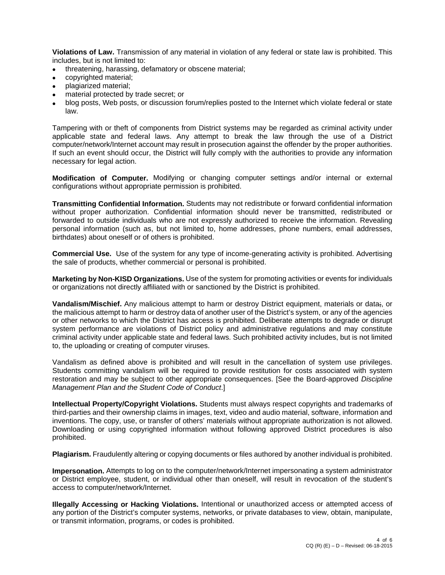**Violations of Law.** Transmission of any material in violation of any federal or state law is prohibited. This includes, but is not limited to:

- threatening, harassing, defamatory or obscene material;
- copyrighted material;
- plagiarized material;
- material protected by trade secret; or
- blog posts, Web posts, or discussion forum/replies posted to the Internet which violate federal or state law.

Tampering with or theft of components from District systems may be regarded as criminal activity under applicable state and federal laws. Any attempt to break the law through the use of a District computer/network/Internet account may result in prosecution against the offender by the proper authorities. If such an event should occur, the District will fully comply with the authorities to provide any information necessary for legal action.

**Modification of Computer.** Modifying or changing computer settings and/or internal or external configurations without appropriate permission is prohibited.

**Transmitting Confidential Information.** Students may not redistribute or forward confidential information without proper authorization. Confidential information should never be transmitted, redistributed or forwarded to outside individuals who are not expressly authorized to receive the information. Revealing personal information (such as, but not limited to, home addresses, phone numbers, email addresses, birthdates) about oneself or of others is prohibited.

**Commercial Use.** Use of the system for any type of income-generating activity is prohibited. Advertising the sale of products, whether commercial or personal is prohibited.

**Marketing by Non-KISD Organizations.** Use of the system for promoting activities or events for individuals or organizations not directly affiliated with or sanctioned by the District is prohibited.

**Vandalism/Mischief.** Any malicious attempt to harm or destroy District equipment, materials or data;, or the malicious attempt to harm or destroy data of another user of the District's system, or any of the agencies or other networks to which the District has access is prohibited. Deliberate attempts to degrade or disrupt system performance are violations of District policy and administrative regulations and may constitute criminal activity under applicable state and federal laws. Such prohibited activity includes, but is not limited to, the uploading or creating of computer viruses.

Vandalism as defined above is prohibited and will result in the cancellation of system use privileges. Students committing vandalism will be required to provide restitution for costs associated with system restoration and may be subject to other appropriate consequences. [See the Board-approved *Discipline Management Plan and the Student Code of Conduct*.]

**Intellectual Property/Copyright Violations.** Students must always respect copyrights and trademarks of third-parties and their ownership claims in images, text, video and audio material, software, information and inventions. The copy, use, or transfer of others' materials without appropriate authorization is not allowed. Downloading or using copyrighted information without following approved District procedures is also prohibited.

**Plagiarism.** Fraudulently altering or copying documents or files authored by another individual is prohibited.

**Impersonation.** Attempts to log on to the computer/network/Internet impersonating a system administrator or District employee, student, or individual other than oneself, will result in revocation of the student's access to computer/network/Internet.

**Illegally Accessing or Hacking Violations.** Intentional or unauthorized access or attempted access of any portion of the District's computer systems, networks, or private databases to view, obtain, manipulate, or transmit information, programs, or codes is prohibited.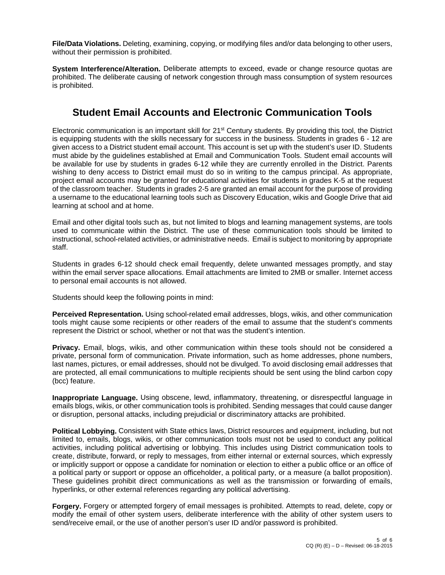**File/Data Violations.** Deleting, examining, copying, or modifying files and/or data belonging to other users, without their permission is prohibited.

**System Interference/Alteration.** Deliberate attempts to exceed, evade or change resource quotas are prohibited. The deliberate causing of network congestion through mass consumption of system resources is prohibited.

## **Student Email Accounts and Electronic Communication Tools**

Electronic communication is an important skill for 21<sup>st</sup> Century students. By providing this tool, the District is equipping students with the skills necessary for success in the business. Students in grades 6 - 12 are given access to a District student email account. This account is set up with the student's user ID. Students must abide by the guidelines established at Email and Communication Tools. Student email accounts will be available for use by students in grades 6-12 while they are currently enrolled in the District. Parents wishing to deny access to District email must do so in writing to the campus principal. As appropriate, project email accounts may be granted for educational activities for students in grades K-5 at the request of the classroom teacher. Students in grades 2-5 are granted an email account for the purpose of providing a username to the educational learning tools such as Discovery Education, wikis and Google Drive that aid learning at school and at home.

Email and other digital tools such as, but not limited to blogs and learning management systems, are tools used to communicate within the District. The use of these communication tools should be limited to instructional, school-related activities, or administrative needs. Email is subject to monitoring by appropriate staff.

Students in grades 6-12 should check email frequently, delete unwanted messages promptly, and stay within the email server space allocations. Email attachments are limited to 2MB or smaller. Internet access to personal email accounts is not allowed.

Students should keep the following points in mind:

**Perceived Representation.** Using school-related email addresses, blogs, wikis, and other communication tools might cause some recipients or other readers of the email to assume that the student's comments represent the District or school, whether or not that was the student's intention.

**Privacy.** Email, blogs, wikis, and other communication within these tools should not be considered a private, personal form of communication. Private information, such as home addresses, phone numbers, last names, pictures, or email addresses, should not be divulged. To avoid disclosing email addresses that are protected, all email communications to multiple recipients should be sent using the blind carbon copy (bcc) feature.

**Inappropriate Language.** Using obscene, lewd, inflammatory, threatening, or disrespectful language in emails blogs, wikis, or other communication tools is prohibited. Sending messages that could cause danger or disruption, personal attacks, including prejudicial or discriminatory attacks are prohibited.

**Political Lobbying.** Consistent with State ethics laws, District resources and equipment, including, but not limited to, emails, blogs, wikis, or other communication tools must not be used to conduct any political activities, including political advertising or lobbying. This includes using District communication tools to create, distribute, forward, or reply to messages, from either internal or external sources, which expressly or implicitly support or oppose a candidate for nomination or election to either a public office or an office of a political party or support or oppose an officeholder, a political party, or a measure (a ballot proposition). These guidelines prohibit direct communications as well as the transmission or forwarding of emails, hyperlinks, or other external references regarding any political advertising.

**Forgery.** Forgery or attempted forgery of email messages is prohibited. Attempts to read, delete, copy or modify the email of other system users, deliberate interference with the ability of other system users to send/receive email, or the use of another person's user ID and/or password is prohibited.